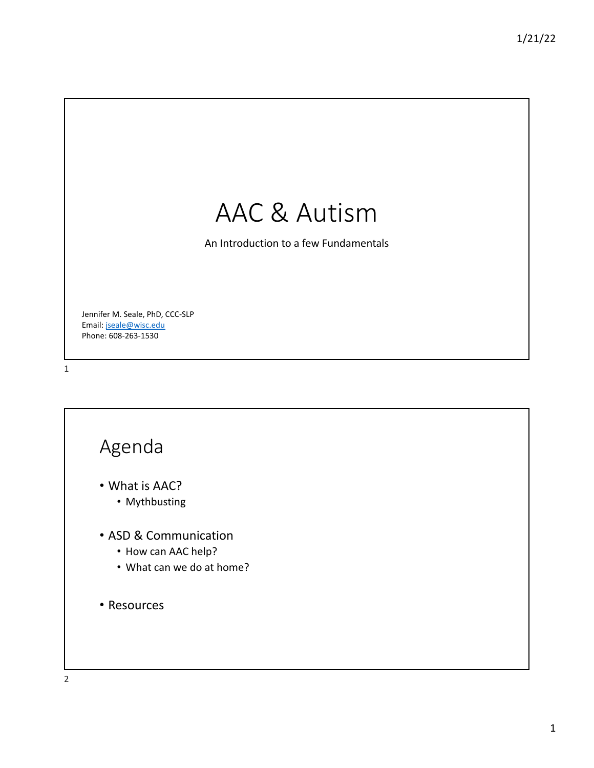



2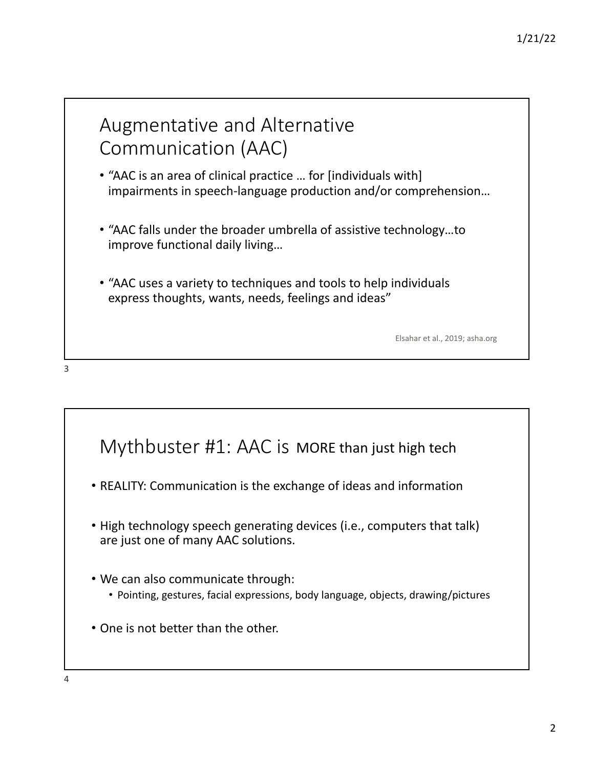## Augmentative and Alternative Communication (AAC)

- "AAC is an area of clinical practice … for [individuals with] impairments in speech-language production and/or comprehension…
- "AAC falls under the broader umbrella of assistive technology…to improve functional daily living…
- "AAC uses a variety to techniques and tools to help individuals express thoughts, wants, needs, feelings and ideas"

Elsahar et al., 2019; asha.org

## Mythbuster #1: AAC is MORE than just high tech

- REALITY: Communication is the exchange of ideas and information
- High technology speech generating devices (i.e., computers that talk) are just one of many AAC solutions.
- We can also communicate through:
	- Pointing, gestures, facial expressions, body language, objects, drawing/pictures
- One is not better than the other.

3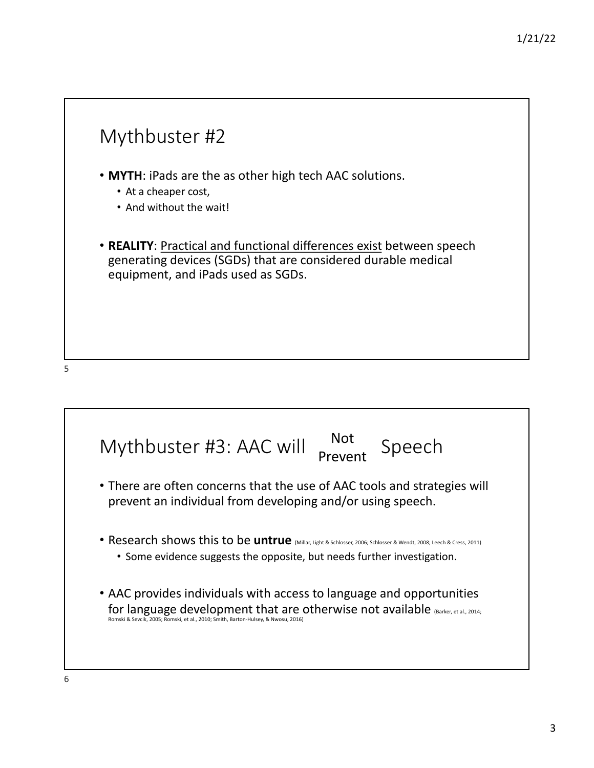

- Research shows this to be **untrue** (Millar, Light & Schlosser, 2006; Schlosser & Wendt, 2008; Leech & Cress, 2011)
	- Some evidence suggests the opposite, but needs further investigation.
- AAC provides individuals with access to language and opportunities for language development that are otherwise not available (Barker, et al., 2014;<br>Romski & Sevcik, 2005; Romski, et al., 2010; Smith, Barton-Hulsey, & Nwosu, 2016)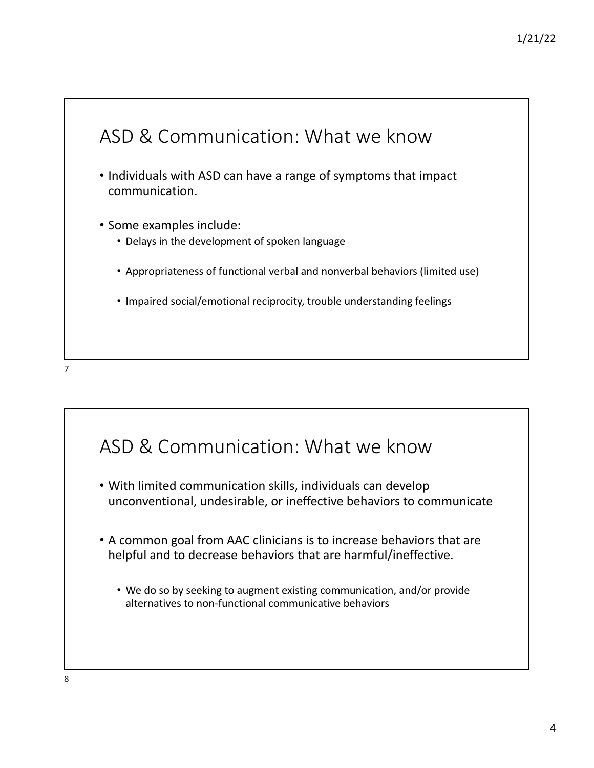

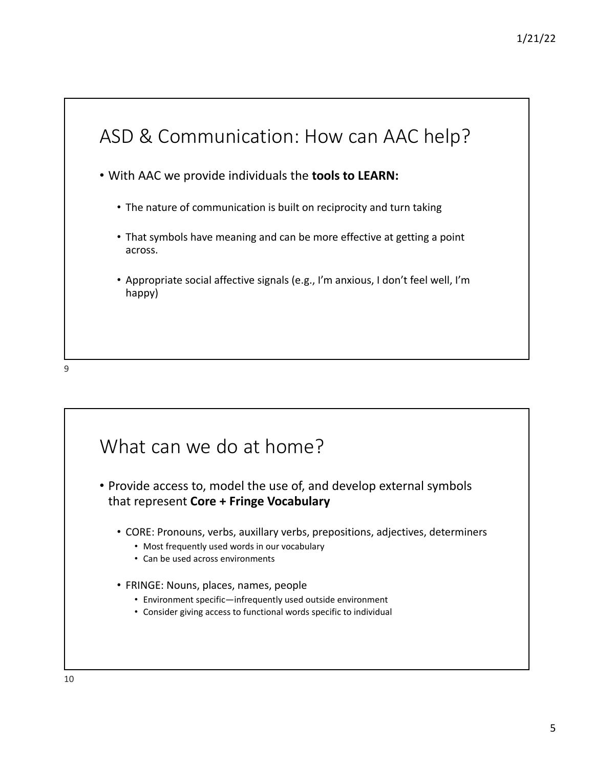